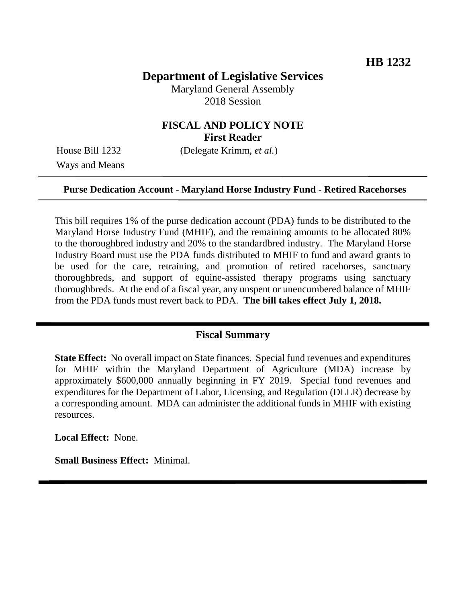# **Department of Legislative Services**

Maryland General Assembly 2018 Session

## **FISCAL AND POLICY NOTE First Reader**

Ways and Means

House Bill 1232 (Delegate Krimm, *et al.*)

#### **Purse Dedication Account - Maryland Horse Industry Fund - Retired Racehorses**

This bill requires 1% of the purse dedication account (PDA) funds to be distributed to the Maryland Horse Industry Fund (MHIF), and the remaining amounts to be allocated 80% to the thoroughbred industry and 20% to the standardbred industry. The Maryland Horse Industry Board must use the PDA funds distributed to MHIF to fund and award grants to be used for the care, retraining, and promotion of retired racehorses, sanctuary thoroughbreds, and support of equine-assisted therapy programs using sanctuary thoroughbreds. At the end of a fiscal year, any unspent or unencumbered balance of MHIF from the PDA funds must revert back to PDA. **The bill takes effect July 1, 2018.**

### **Fiscal Summary**

**State Effect:** No overall impact on State finances. Special fund revenues and expenditures for MHIF within the Maryland Department of Agriculture (MDA) increase by approximately \$600,000 annually beginning in FY 2019. Special fund revenues and expenditures for the Department of Labor, Licensing, and Regulation (DLLR) decrease by a corresponding amount. MDA can administer the additional funds in MHIF with existing resources.

**Local Effect:** None.

**Small Business Effect:** Minimal.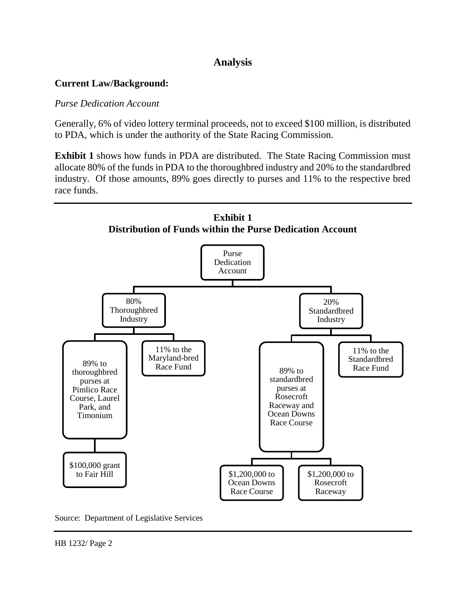# **Analysis**

## **Current Law/Background:**

### *Purse Dedication Account*

Generally, 6% of video lottery terminal proceeds, not to exceed \$100 million, is distributed to PDA, which is under the authority of the State Racing Commission.

**Exhibit 1** shows how funds in PDA are distributed. The State Racing Commission must allocate 80% of the funds in PDA to the thoroughbred industry and 20% to the standardbred industry. Of those amounts, 89% goes directly to purses and 11% to the respective bred race funds.



Source: Department of Legislative Services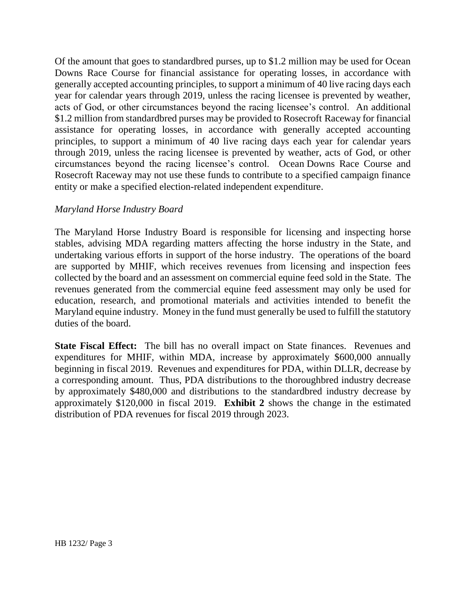Of the amount that goes to standardbred purses, up to \$1.2 million may be used for Ocean Downs Race Course for financial assistance for operating losses, in accordance with generally accepted accounting principles, to support a minimum of 40 live racing days each year for calendar years through 2019, unless the racing licensee is prevented by weather, acts of God, or other circumstances beyond the racing licensee's control. An additional \$1.2 million from standardbred purses may be provided to Rosecroft Raceway for financial assistance for operating losses, in accordance with generally accepted accounting principles, to support a minimum of 40 live racing days each year for calendar years through 2019, unless the racing licensee is prevented by weather, acts of God, or other circumstances beyond the racing licensee's control. Ocean Downs Race Course and Rosecroft Raceway may not use these funds to contribute to a specified campaign finance entity or make a specified election-related independent expenditure.

### *Maryland Horse Industry Board*

The Maryland Horse Industry Board is responsible for licensing and inspecting horse stables, advising MDA regarding matters affecting the horse industry in the State, and undertaking various efforts in support of the horse industry. The operations of the board are supported by MHIF, which receives revenues from licensing and inspection fees collected by the board and an assessment on commercial equine feed sold in the State. The revenues generated from the commercial equine feed assessment may only be used for education, research, and promotional materials and activities intended to benefit the Maryland equine industry. Money in the fund must generally be used to fulfill the statutory duties of the board.

**State Fiscal Effect:** The bill has no overall impact on State finances. Revenues and expenditures for MHIF, within MDA, increase by approximately \$600,000 annually beginning in fiscal 2019. Revenues and expenditures for PDA, within DLLR, decrease by a corresponding amount. Thus, PDA distributions to the thoroughbred industry decrease by approximately \$480,000 and distributions to the standardbred industry decrease by approximately \$120,000 in fiscal 2019. **Exhibit 2** shows the change in the estimated distribution of PDA revenues for fiscal 2019 through 2023.